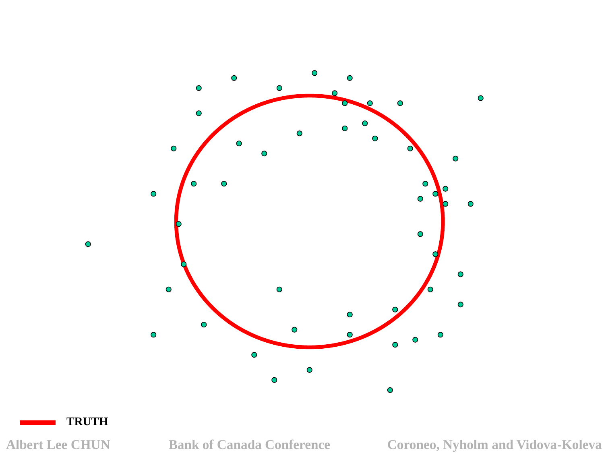

#### **TRUTH**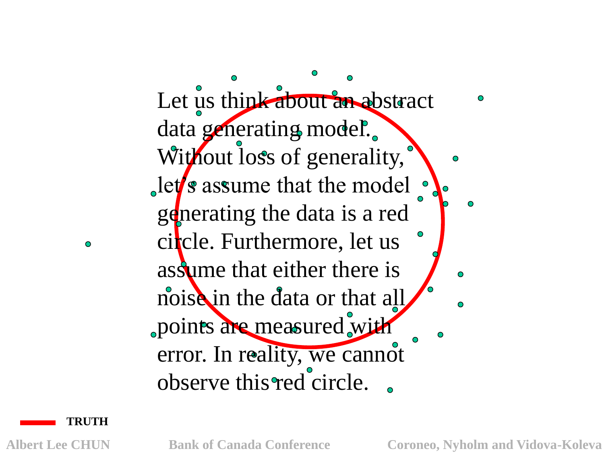Let us think about an abstract data generating model. Without loss of generality,  $\det$  s assume that the model generating the data is a red circle. Furthermore, let us assume that either there is noise in the data or that all points are measured with error. In reality, we cannot observe this red circle.

**TRUTH**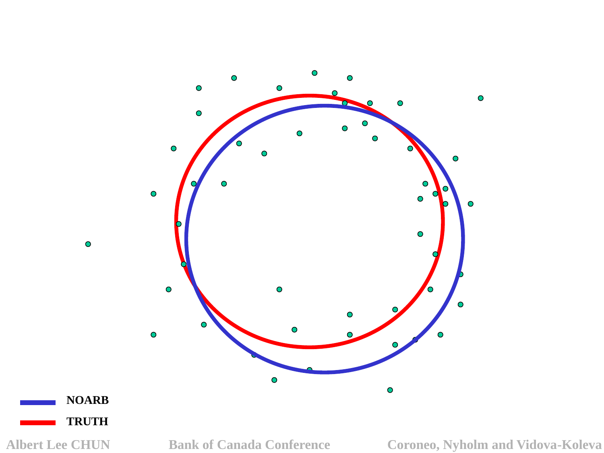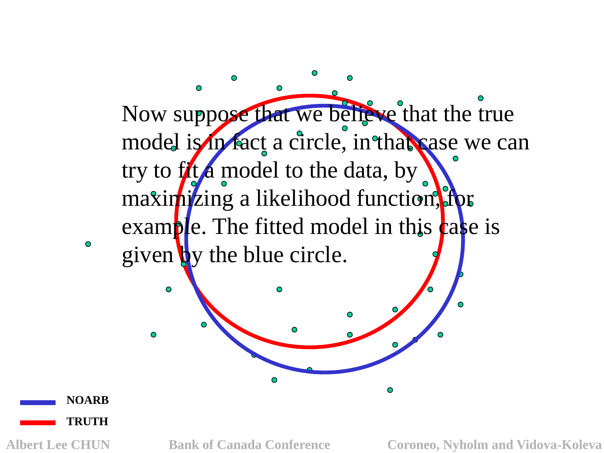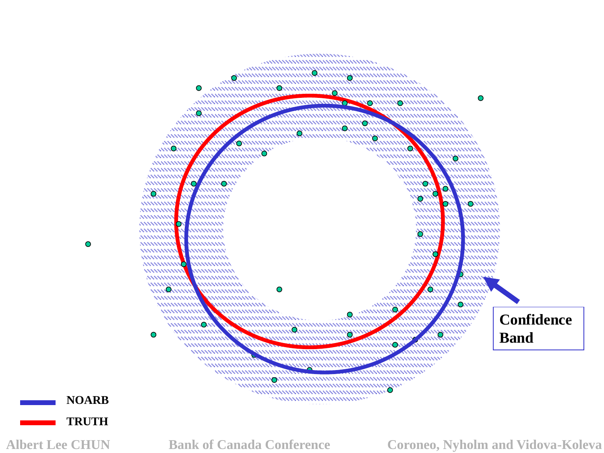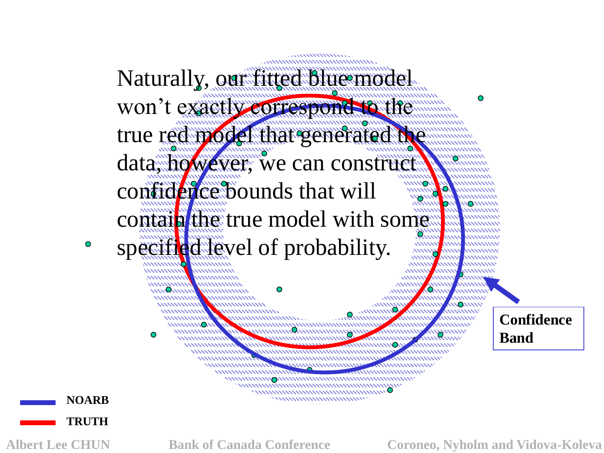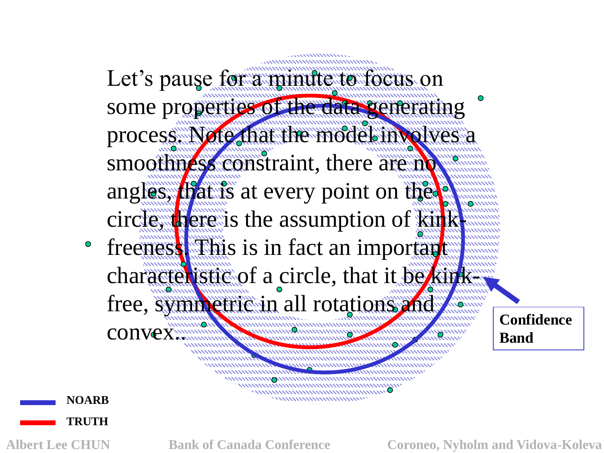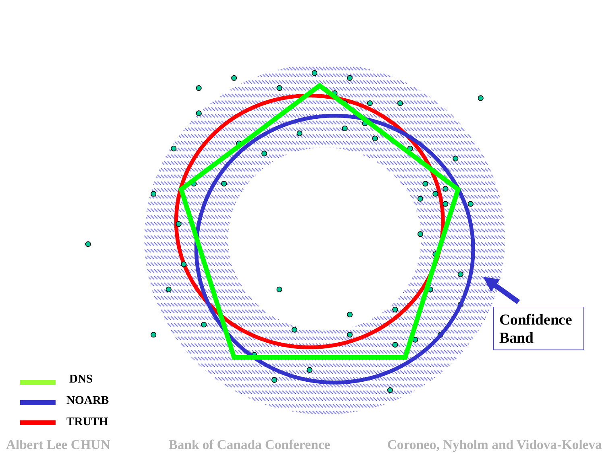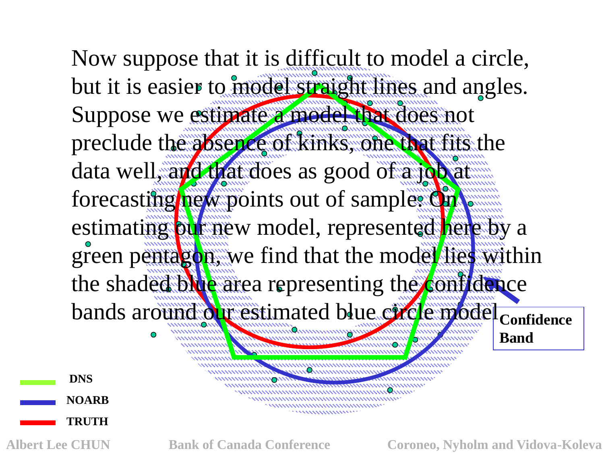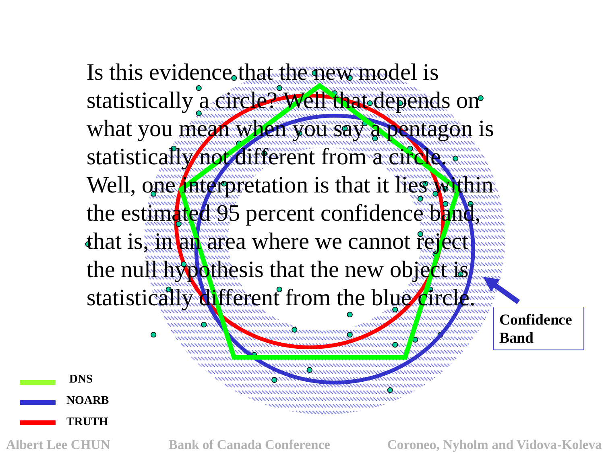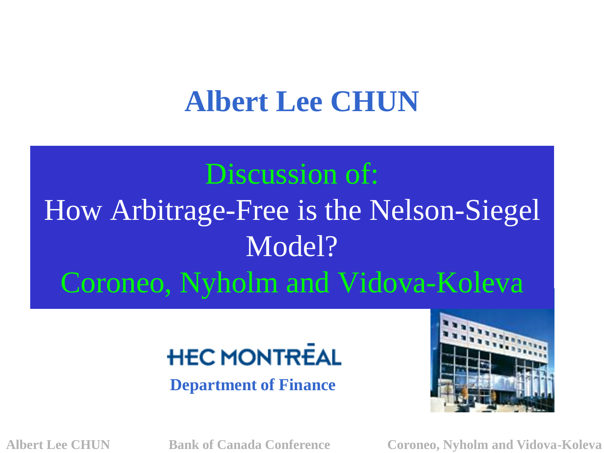# **Albert Lee CHUN**

# Discussion of:

# How Arbitrage-Free is the Nelson-Siegel Model? Coroneo, Nyholm and Vidova-Koleva

# **HEC MONTREAL**

**Department of Finance**

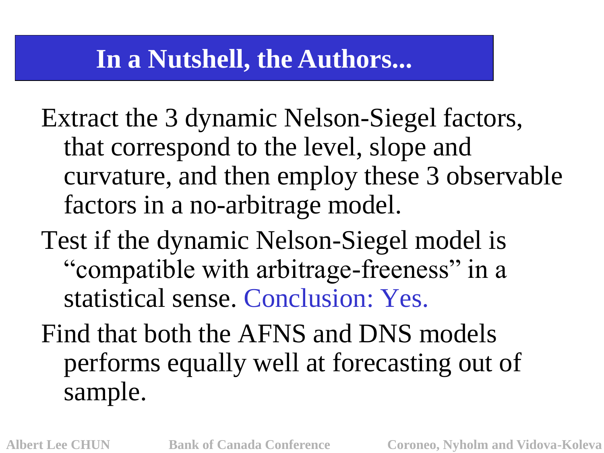### **In a Nutshell, the Authors...**

Extract the 3 dynamic Nelson-Siegel factors, that correspond to the level, slope and curvature, and then employ these 3 observable factors in a no-arbitrage model.

Test if the dynamic Nelson-Siegel model is "compatible with arbitrage-freeness" in a statistical sense. Conclusion: Yes.

Find that both the AFNS and DNS models performs equally well at forecasting out of sample.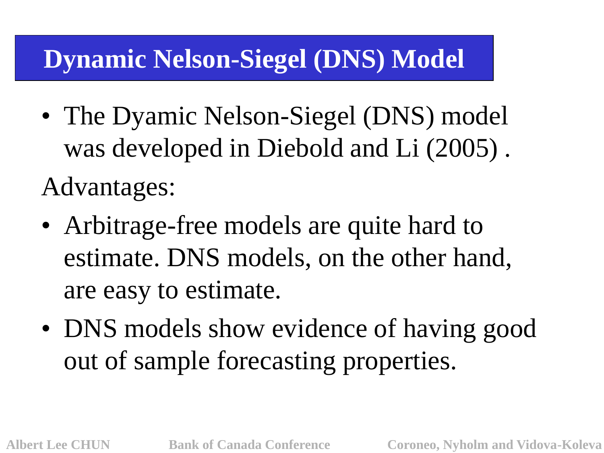# **Dynamic Nelson-Siegel (DNS) Model**

- The Dyamic Nelson-Siegel (DNS) model was developed in Diebold and Li (2005) . Advantages:
- Arbitrage-free models are quite hard to estimate. DNS models, on the other hand, are easy to estimate.
- DNS models show evidence of having good out of sample forecasting properties.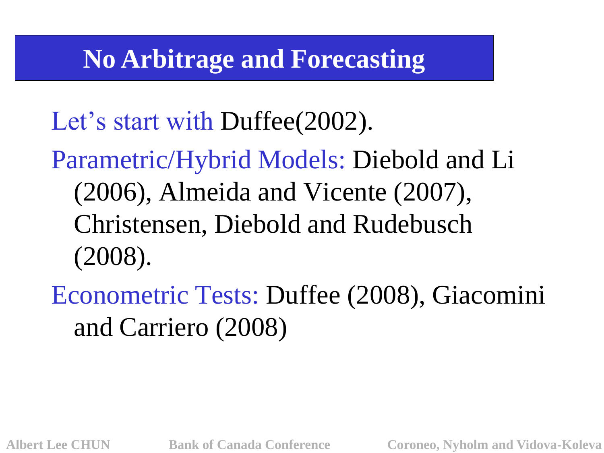# **No Arbitrage and Forecasting**

Let's start with Duffee(2002).

Parametric/Hybrid Models: Diebold and Li (2006), Almeida and Vicente (2007), Christensen, Diebold and Rudebusch (2008).

Econometric Tests: Duffee (2008), Giacomini and Carriero (2008)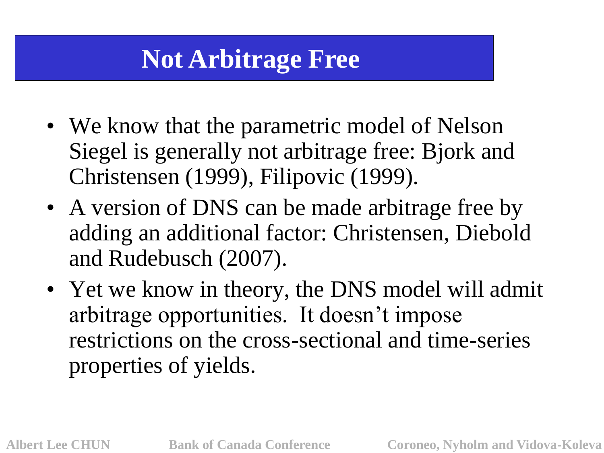# **Not Arbitrage Free**

- We know that the parametric model of Nelson Siegel is generally not arbitrage free: Bjork and Christensen (1999), Filipovic (1999).
- A version of DNS can be made arbitrage free by adding an additional factor: Christensen, Diebold and Rudebusch (2007).
- Yet we know in theory, the DNS model will admit arbitrage opportunities. It doesn"t impose restrictions on the cross-sectional and time-series properties of yields.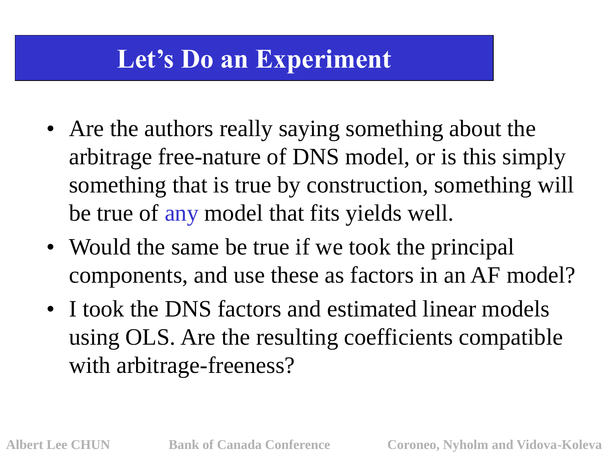# **Let's Do an Experiment**

- Are the authors really saying something about the arbitrage free-nature of DNS model, or is this simply something that is true by construction, something will be true of any model that fits yields well.
- Would the same be true if we took the principal components, and use these as factors in an AF model?
- I took the DNS factors and estimated linear models using OLS. Are the resulting coefficients compatible with arbitrage-freeness?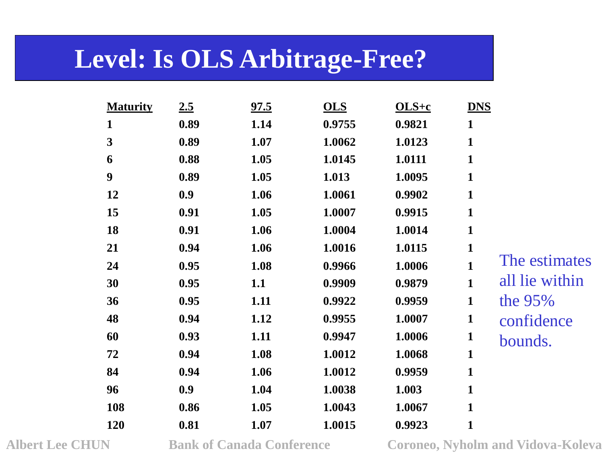### **Level: Is OLS Arbitrage-Free?**

| <b>Maturity</b>         | 2.5  | 97.5 | <b>OLS</b> | $OLS+c$ | <b>DNS</b>                     |
|-------------------------|------|------|------------|---------|--------------------------------|
| $\mathbf{1}$            | 0.89 | 1.14 | 0.9755     | 0.9821  | $\mathbf{1}$                   |
| $\overline{\mathbf{3}}$ | 0.89 | 1.07 | 1.0062     | 1.0123  | $\mathbf{1}$                   |
| 6                       | 0.88 | 1.05 | 1.0145     | 1.0111  | $\mathbf{1}$                   |
| $\boldsymbol{9}$        | 0.89 | 1.05 | 1.013      | 1.0095  | $\mathbf{1}$                   |
| 12                      | 0.9  | 1.06 | 1.0061     | 0.9902  | $\mathbf{1}$                   |
| 15                      | 0.91 | 1.05 | 1.0007     | 0.9915  | $\mathbf{1}$                   |
| 18                      | 0.91 | 1.06 | 1.0004     | 1.0014  | $\mathbf{1}$                   |
| 21                      | 0.94 | 1.06 | 1.0016     | 1.0115  | $\mathbf{1}$                   |
| 24                      | 0.95 | 1.08 | 0.9966     | 1.0006  | The estimates<br>$\mathbf{1}$  |
| 30                      | 0.95 | 1.1  | 0.9909     | 0.9879  | all lie within<br>$\mathbf{1}$ |
| 36                      | 0.95 | 1.11 | 0.9922     | 0.9959  | the $95%$<br>$\mathbf{1}$      |
| 48                      | 0.94 | 1.12 | 0.9955     | 1.0007  | $\mathbf{1}$<br>confidence     |
| 60                      | 0.93 | 1.11 | 0.9947     | 1.0006  | $\mathbf{1}$<br>bounds.        |
| 72                      | 0.94 | 1.08 | 1.0012     | 1.0068  | $\mathbf{1}$                   |
| 84                      | 0.94 | 1.06 | 1.0012     | 0.9959  | $\mathbf{1}$                   |
| 96                      | 0.9  | 1.04 | 1.0038     | 1.003   | $\mathbf{1}$                   |
| 108                     | 0.86 | 1.05 | 1.0043     | 1.0067  | $\mathbf{1}$                   |
| 120                     | 0.81 | 1.07 | 1.0015     | 0.9923  | $\mathbf{1}$                   |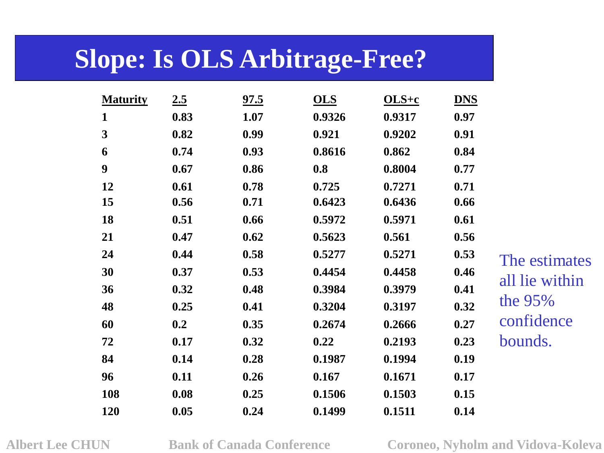# **Slope: Is OLS Arbitrage-Free?**

| <b>Maturity</b> | 2.5  | 97.5 | <b>OLS</b> | $OLS+c$ | <b>DNS</b> |                |
|-----------------|------|------|------------|---------|------------|----------------|
| $\mathbf{1}$    | 0.83 | 1.07 | 0.9326     | 0.9317  | 0.97       |                |
| $\mathbf{3}$    | 0.82 | 0.99 | 0.921      | 0.9202  | 0.91       |                |
| 6               | 0.74 | 0.93 | 0.8616     | 0.862   | 0.84       |                |
| 9               | 0.67 | 0.86 | 0.8        | 0.8004  | 0.77       |                |
| 12              | 0.61 | 0.78 | 0.725      | 0.7271  | 0.71       |                |
| 15              | 0.56 | 0.71 | 0.6423     | 0.6436  | 0.66       |                |
| 18              | 0.51 | 0.66 | 0.5972     | 0.5971  | 0.61       |                |
| 21              | 0.47 | 0.62 | 0.5623     | 0.561   | 0.56       |                |
| 24              | 0.44 | 0.58 | 0.5277     | 0.5271  | 0.53       | The estimates  |
| 30              | 0.37 | 0.53 | 0.4454     | 0.4458  | 0.46       |                |
| 36              | 0.32 | 0.48 | 0.3984     | 0.3979  | 0.41       | all lie within |
| 48              | 0.25 | 0.41 | 0.3204     | 0.3197  | 0.32       | the $95%$      |
| 60              | 0.2  | 0.35 | 0.2674     | 0.2666  | 0.27       | confidence     |
| 72              | 0.17 | 0.32 | 0.22       | 0.2193  | 0.23       | bounds.        |
| 84              | 0.14 | 0.28 | 0.1987     | 0.1994  | 0.19       |                |
| 96              | 0.11 | 0.26 | 0.167      | 0.1671  | 0.17       |                |
| 108             | 0.08 | 0.25 | 0.1506     | 0.1503  | 0.15       |                |
| 120             | 0.05 | 0.24 | 0.1499     | 0.1511  | 0.14       |                |

**Albert Lee CHUN Bank of Canada Conference Coroneo, Nyholm and Vidova-Koleva**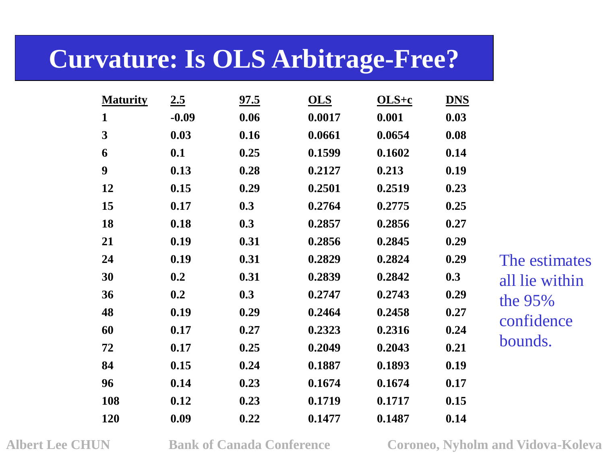## **Curvature: Is OLS Arbitrage-Free?**

| <b>Maturity</b> | 2.5     | 97.5 | <b>OLS</b> | $OLS+c$ | <b>DNS</b> |
|-----------------|---------|------|------------|---------|------------|
| 1               | $-0.09$ | 0.06 | 0.0017     | 0.001   | 0.03       |
| 3               | 0.03    | 0.16 | 0.0661     | 0.0654  | 0.08       |
| 6               | 0.1     | 0.25 | 0.1599     | 0.1602  | 0.14       |
| 9               | 0.13    | 0.28 | 0.2127     | 0.213   | 0.19       |
| 12              | 0.15    | 0.29 | 0.2501     | 0.2519  | 0.23       |
| 15              | 0.17    | 0.3  | 0.2764     | 0.2775  | 0.25       |
| 18              | 0.18    | 0.3  | 0.2857     | 0.2856  | 0.27       |
| 21              | 0.19    | 0.31 | 0.2856     | 0.2845  | 0.29       |
| 24              | 0.19    | 0.31 | 0.2829     | 0.2824  | 0.29       |
| 30              | 0.2     | 0.31 | 0.2839     | 0.2842  | 0.3        |
| 36              | 0.2     | 0.3  | 0.2747     | 0.2743  | 0.29       |
| 48              | 0.19    | 0.29 | 0.2464     | 0.2458  | 0.27       |
| 60              | 0.17    | 0.27 | 0.2323     | 0.2316  | 0.24       |
| 72              | 0.17    | 0.25 | 0.2049     | 0.2043  | 0.21       |
| 84              | 0.15    | 0.24 | 0.1887     | 0.1893  | 0.19       |
| 96              | 0.14    | 0.23 | 0.1674     | 0.1674  | 0.17       |
| 108             | 0.12    | 0.23 | 0.1719     | 0.1717  | 0.15       |
| 120             | 0.09    | 0.22 | 0.1477     | 0.1487  | 0.14       |

The estimates all lie within the 95% confidence bounds.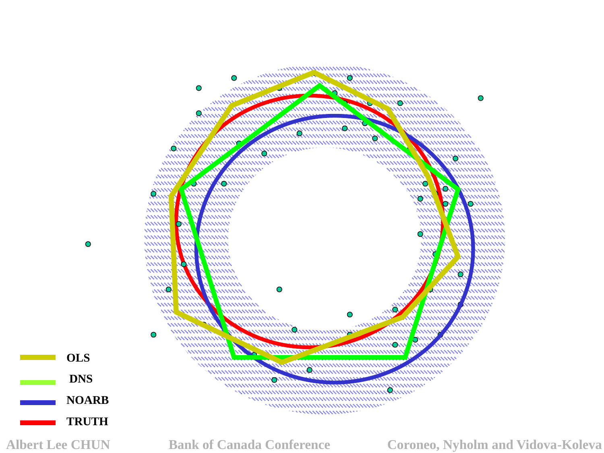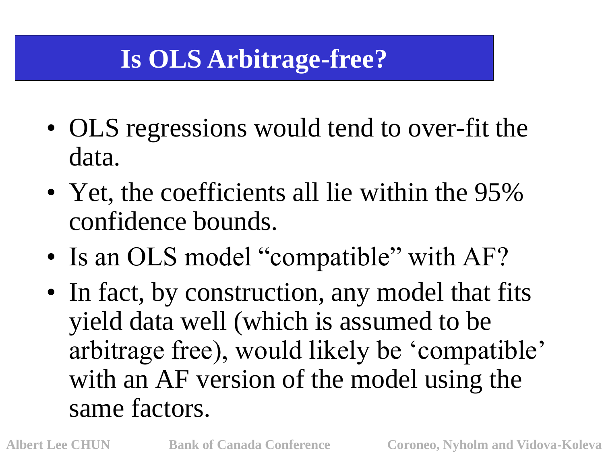# **Is OLS Arbitrage-free?**

- OLS regressions would tend to over-fit the data.
- Yet, the coefficients all lie within the 95% confidence bounds.
- Is an OLS model "compatible" with AF?
- In fact, by construction, any model that fits yield data well (which is assumed to be arbitrage free), would likely be "compatible" with an AF version of the model using the same factors.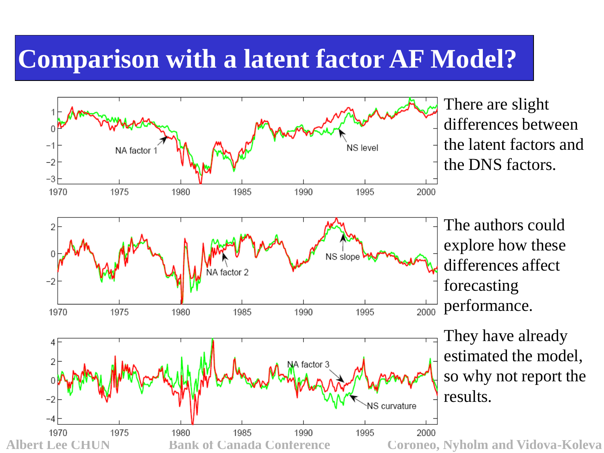### **Comparison with a latent factor AF Model?**

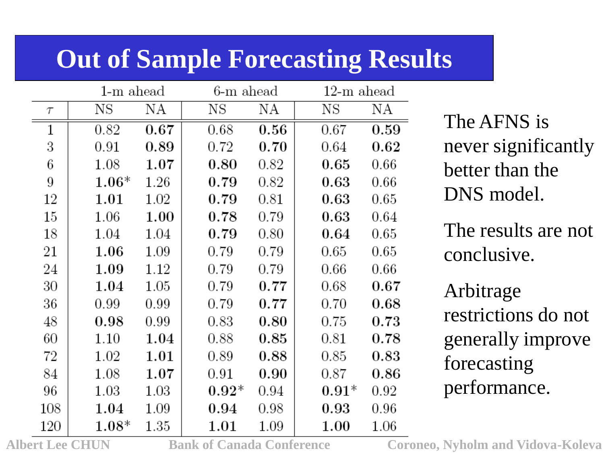# **Out of Sample Forecasting Results**

|        | $1-m$ ahead |          | 6-m ahead |      | $12\text{-m}$ ahead |            |
|--------|-------------|----------|-----------|------|---------------------|------------|
| $\tau$ | NS          | ΝA       | ΝS        | ΝA   | ΝS                  | ΝA         |
| 1      | 0.82        | 0.67     | 0.68      | 0.56 | 0.67                | 0.59       |
| 3      | 0.91        | 0.89     | 0.72      | 0.70 | 0.64                | 0.62       |
| 6      | 1.08        | 1.07     | 0.80      | 0.82 | 0.65                | 0.66       |
| 9      | $1.06*$     | 1.26     | 0.79      | 0.82 | 0.63                | 0.66       |
| 12     | 1.01        | 1.02     | 0.79      | 0.81 | 0.63                | 0.65       |
| 15     | 1.06        | 1.00     | 0.78      | 0.79 | 0.63                | 0.64       |
| 18     | 1.04        | 1.04     | 0.79      | 0.80 | 0.64                | 0.65       |
| 21     | 1.06        | 1.09     | 0.79      | 0.79 | 0.65                | 0.65       |
| 24     | 1.09        | 1.12     | 0.79      | 0.79 | 0.66                | 0.66       |
| 30     | 1.04        | 1.05     | 0.79      | 0.77 | 0.68                | $_{0.67}$  |
| 36     | 0.99        | 0.99     | 0.79      | 0.77 | 0.70                | $0.68\,$   |
| 48     | 0.98        | 0.99     | 0.83      | 0.80 | 0.75                | 0.73       |
| 60     | 1.10        | 1.04     | 0.88      | 0.85 | 0.81                | 0.78       |
| 72     | 1.02        | 1.01     | 0.89      | 0.88 | 0.85                | $\,0.83\,$ |
| 84     | 1.08        | 1.07     | 0.91      | 0.90 | 0.87                | $0.86\,$   |
| 96     | 1.03        | $1.03\,$ | $0.92*$   | 0.94 | $0.91^*$            | 0.92       |
| 108    | 1.04        | 1.09     | 0.94      | 0.98 | $0.93\,$            | 0.96       |
| 120    | $1.08*$     | 1.35     | 1.01      | 1.09 | 1.00                | 1.06       |

The AFNS is never significantly better than the DNS model.

The results are not conclusive.

Arbitrage restrictions do not generally improve forecasting performance.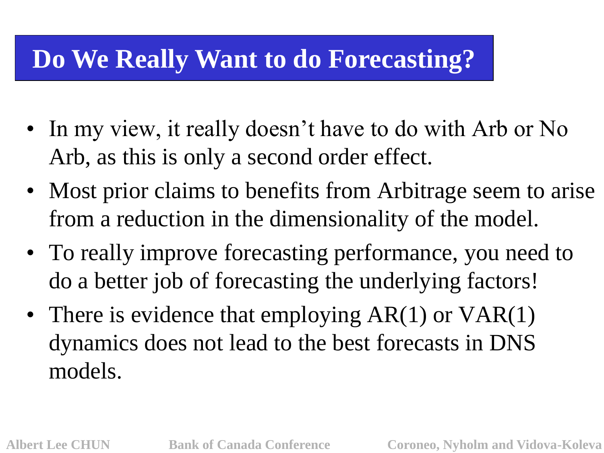# **Do We Really Want to do Forecasting?**

- In my view, it really doesn't have to do with Arb or No Arb, as this is only a second order effect.
- Most prior claims to benefits from Arbitrage seem to arise from a reduction in the dimensionality of the model.
- To really improve forecasting performance, you need to do a better job of forecasting the underlying factors!
- There is evidence that employing AR(1) or VAR(1) dynamics does not lead to the best forecasts in DNS models.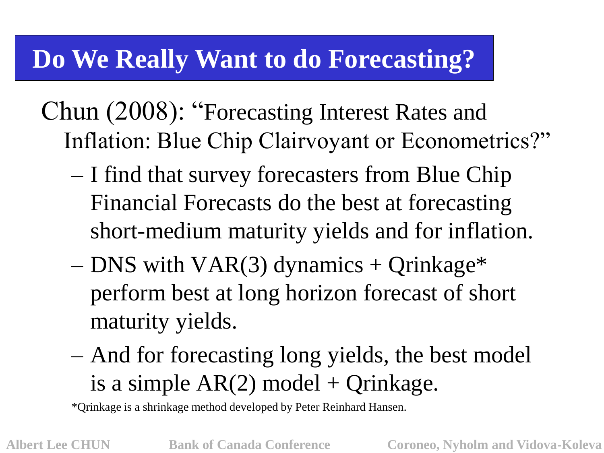# **Do We Really Want to do Forecasting?**

Chun (2008): "Forecasting Interest Rates and Inflation: Blue Chip Clairvoyant or Econometrics?"

- I find that survey forecasters from Blue Chip Financial Forecasts do the best at forecasting short-medium maturity yields and for inflation.
- DNS with VAR(3) dynamics + Qrinkage\* perform best at long horizon forecast of short maturity yields.
- And for forecasting long yields, the best model is a simple  $AR(2)$  model + Qrinkage.

\*Qrinkage is a shrinkage method developed by Peter Reinhard Hansen.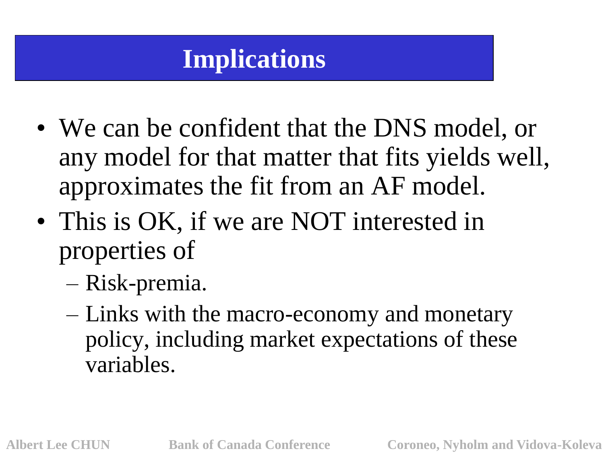# **Implications**

- We can be confident that the DNS model, or any model for that matter that fits yields well, approximates the fit from an AF model.
- This is OK, if we are NOT interested in properties of
	- Risk-premia.
	- Links with the macro-economy and monetary policy, including market expectations of these variables.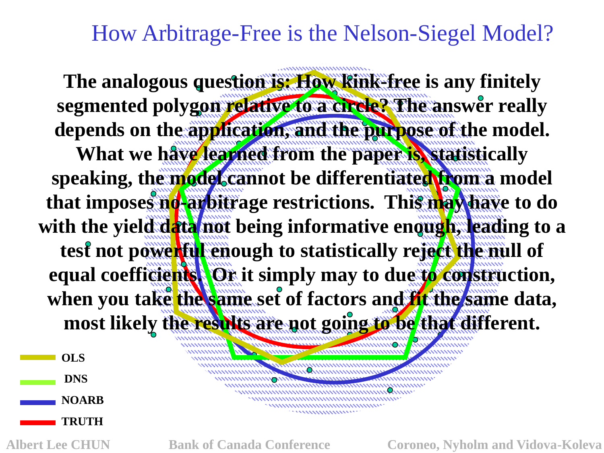How Arbitrage-Free is the Nelson-Siegel Model?

**The analogous question is: How kink-free is any finitely segmented polygon relative to a circle? The answer really depends on the application, and the purpose of the model. What we have learned from the paper is, statistically speaking, the model cannot be differentiated from a model**  that imposes no-arbitrage restrictions. This may have to do with the yield data not being informative enough, leading to a **test not powerful enough to statistically reject the null of equal coefficients. Or it simply may to due to construction,**  when you take the same set of factors and **fit** the same data, **most likely the results are not going to be that different.**

,,,,,,,,,,,,,,,,,,,,,,,,,,,,,

**OLS DNS NOARB TRUTH**